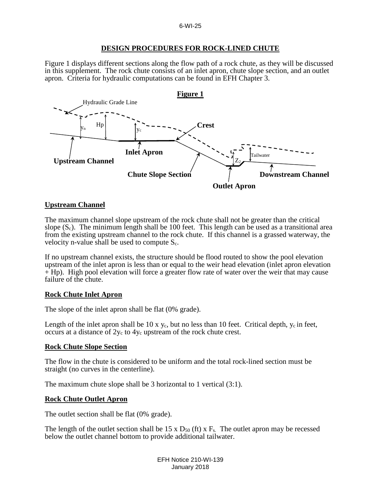### **DESIGN PROCEDURES FOR ROCK-LINED CHUTE**

Figure 1 displays different sections along the flow path of a rock chute, as they will be discussed in this supplement. The rock chute consists of an inlet apron, chute slope section, and an outlet apron. Criteria for hydraulic computations can be found in EFH Chapter 3.



#### **Upstream Channel**

The maximum channel slope upstream of the rock chute shall not be greater than the critical slope  $(S_c)$ . The minimum length shall be 100 feet. This length can be used as a transitional area from the existing upstream channel to the rock chute. If this channel is a grassed waterway, the velocity n-value shall be used to compute  $S_c$ .

If no upstream channel exists, the structure should be flood routed to show the pool elevation upstream of the inlet apron is less than or equal to the weir head elevation (inlet apron elevation  $+$  Hp). High pool elevation will force a greater flow rate of water over the weir that may cause failure of the chute.

#### **Rock Chute Inlet Apron**

The slope of the inlet apron shall be flat (0% grade).

Length of the inlet apron shall be 10 x  $y_c$ , but no less than 10 feet. Critical depth,  $y_c$  in feet, occurs at a distance of 2yc to 4yc upstream of the rock chute crest.

### **Rock Chute Slope Section**

The flow in the chute is considered to be uniform and the total rock-lined section must be straight (no curves in the centerline).

The maximum chute slope shall be 3 horizontal to 1 vertical (3:1).

### **Rock Chute Outlet Apron**

The outlet section shall be flat (0% grade).

The length of the outlet section shall be 15 x  $D_{50}$  (ft) x  $F_s$ . The outlet apron may be recessed below the outlet channel bottom to provide additional tailwater.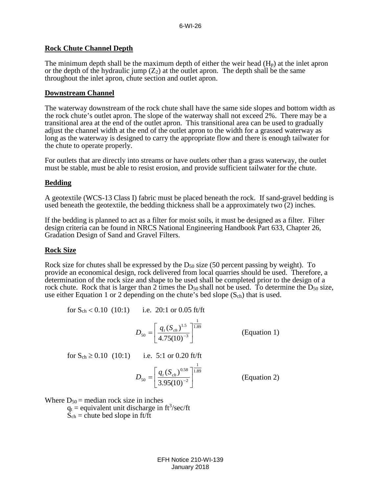### **Rock Chute Channel Depth**

The minimum depth shall be the maximum depth of either the weir head  $(H_p)$  at the inlet apron or the depth of the hydraulic jump  $(Z_2)$  at the outlet apron. The depth shall be the same throughout the inlet apron, chute section and outlet apron.

### **Downstream Channel**

The waterway downstream of the rock chute shall have the same side slopes and bottom width as the rock chute's outlet apron. The slope of the waterway shall not exceed 2%. There may be a transitional area at the end of the outlet apron. This transitional area can be used to gradually adjust the channel width at the end of the outlet apron to the width for a grassed waterway as long as the waterway is designed to carry the appropriate flow and there is enough tailwater for the chute to operate properly.

For outlets that are directly into streams or have outlets other than a grass waterway, the outlet must be stable, must be able to resist erosion, and provide sufficient tailwater for the chute.

## **Bedding**

A geotextile (WCS-13 Class I) fabric must be placed beneath the rock. If sand-gravel bedding is used beneath the geotextile, the bedding thickness shall be a approximately two (2) inches.

If the bedding is planned to act as a filter for moist soils, it must be designed as a filter. Filter design criteria can be found in NRCS National Engineering Handbook Part 633, Chapter 26, Gradation Design of Sand and Gravel Filters.

### **Rock Size**

Rock size for chutes shall be expressed by the  $D_{50}$  size (50 percent passing by weight). To provide an economical design, rock delivered from local quarries should be used. Therefore, a determination of the rock size and shape to be used shall be completed prior to the design of a rock chute. Rock that is larger than 2 times the  $D_{50}$  shall not be used. To determine the  $D_{50}$  size, use either Equation 1 or 2 depending on the chute's bed slope  $(S_{ch})$  that is used.

for  $S_{ch} < 0.10$  (10:1) i.e. 20:1 or 0.05 ft/ft

$$
D_{50} = \left[ \frac{q_t (S_{ch})^{1.5}}{4.75(10)^{-3}} \right]^{\frac{1}{1.89}}
$$
 (Equation 1)

for  $S_{ch} \ge 0.10$  (10:1) i.e. 5:1 or 0.20 ft/ft

$$
D_{50} = \left[ \frac{q_t (S_{ch})^{0.58}}{3.95(10)^{-2}} \right]^{1.89}
$$
 (Equation 2)

Where  $D_{50}$  = median rock size in inches

 $q_t$  = equivalent unit discharge in ft<sup>3</sup>/sec/ft  $\overline{S}_{ch}$  = chute bed slope in ft/ft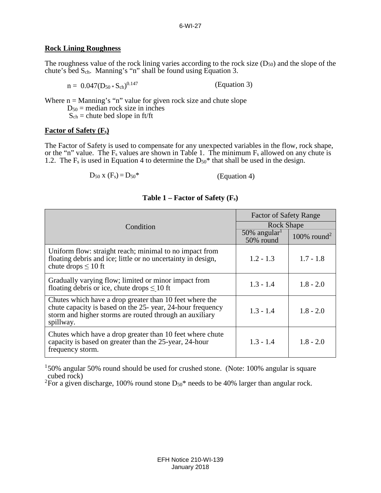## **Rock Lining Roughness**

The roughness value of the rock lining varies according to the rock size  $(D_{50})$  and the slope of the chute's bed Sch. Manning's "n" shall be found using Equation 3.

(Equation 3)

 $n = 0.047(D_{50} * S_{ch})^{0.147}$ 

Where  $n =$  Manning's "n" value for given rock size and chute slope  $D_{50}$  = median rock size in inches  $S_{ch}$  = chute bed slope in ft/ft

## **Factor of Safety (Fs)**

The Factor of Safety is used to compensate for any unexpected variables in the flow, rock shape, or the "n" value. The  $F_s$  values are shown in Table 1. The minimum  $F_s$  allowed on any chute is 1.2. The  $F_s$  is used in Equation 4 to determine the  $D_{50}$ <sup>\*</sup> that shall be used in the design.

$$
D_{50} x (F_s) = D_{50}^* \tag{Equation 4}
$$

|                                                                                                                                                                                              | <b>Factor of Safety Range</b>            |                         |  |
|----------------------------------------------------------------------------------------------------------------------------------------------------------------------------------------------|------------------------------------------|-------------------------|--|
| Condition                                                                                                                                                                                    | <b>Rock Shape</b>                        |                         |  |
|                                                                                                                                                                                              | $50\%$ angular <sup>1</sup><br>50% round | 100% round <sup>2</sup> |  |
| Uniform flow: straight reach; minimal to no impact from<br>floating debris and ice; little or no uncertainty in design,<br>chute drops $\leq 10$ ft                                          | $1.2 - 1.3$                              | $1.7 - 1.8$             |  |
| Gradually varying flow; limited or minor impact from<br>floating debris or ice, chute drops $\leq 10$ ft                                                                                     | $1.3 - 1.4$                              | $1.8 - 2.0$             |  |
| Chutes which have a drop greater than 10 feet where the<br>chute capacity is based on the 25-year, 24-hour frequency<br>storm and higher storms are routed through an auxiliary<br>spillway. | $1.3 - 1.4$                              | $1.8 - 2.0$             |  |
| Chutes which have a drop greater than 10 feet where chute<br>capacity is based on greater than the 25-year, 24-hour<br>frequency storm.                                                      | $1.3 - 1.4$                              | $1.8 - 2.0$             |  |

## **Table 1 – Factor of Safety (Fs)**

150% angular 50% round should be used for crushed stone. (Note: 100% angular is square cubed rock)

<sup>2</sup>For a given discharge, 100% round stone  $D_{50}$ <sup>\*</sup> needs to be 40% larger than angular rock.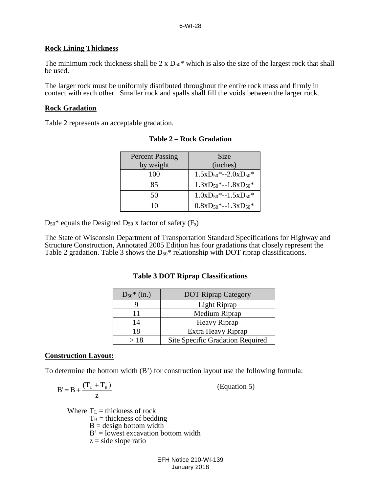#### **Rock Lining Thickness**

The minimum rock thickness shall be  $2 \times D_{50}^*$  which is also the size of the largest rock that shall be used.

The larger rock must be uniformly distributed throughout the entire rock mass and firmly in contact with each other. Smaller rock and spalls shall fill the voids between the larger rock.

#### **Rock Gradation**

Table 2 represents an acceptable gradation.

| <b>Percent Passing</b> | Size                                  |
|------------------------|---------------------------------------|
| by weight              | (inches)                              |
| 100                    | $1.5xD_{50}$ *--2.0xD <sub>50</sub> * |
| 85                     | $1.3xD_{50}$ *--1.8xD <sub>50</sub> * |
| 50                     | $1.0xD_{50}$ *--1.5x $D_{50}$ *       |
| 10                     | $0.8xD_{50}$ *--1.3x $D_{50}$ *       |

|  |  |  | <b>Table 2 – Rock Gradation</b> |
|--|--|--|---------------------------------|
|--|--|--|---------------------------------|

 $D_{50}^*$  equals the Designed  $D_{50}$  x factor of safety (F<sub>s</sub>)

The State of Wisconsin Department of Transportation Standard Specifications for Highway and Structure Construction, Annotated 2005 Edition has four gradations that closely represent the Table 2 gradation. Table 3 shows the  $D_{50}$ \* relationship with DOT riprap classifications.

### **Table 3 DOT Riprap Classifications**

| $D_{50}$ <sup>*</sup> (in.) | <b>DOT Riprap Category</b>       |  |  |  |  |
|-----------------------------|----------------------------------|--|--|--|--|
|                             | Light Riprap                     |  |  |  |  |
|                             | Medium Riprap                    |  |  |  |  |
| 14                          | Heavy Riprap                     |  |  |  |  |
| 18                          | Extra Heavy Riprap               |  |  |  |  |
| >18                         | Site Specific Gradation Required |  |  |  |  |

#### **Construction Layout:**

To determine the bottom width (B') for construction layout use the following formula:

$$
B' = B + \frac{(T_L + T_B)}{z}
$$
 (Equation 5)

Where  $T_L$  = thickness of rock  $T_B$  = thickness of bedding  $B =$  design bottom width  $B' =$ lowest excavation bottom width

 $z = side slope ratio$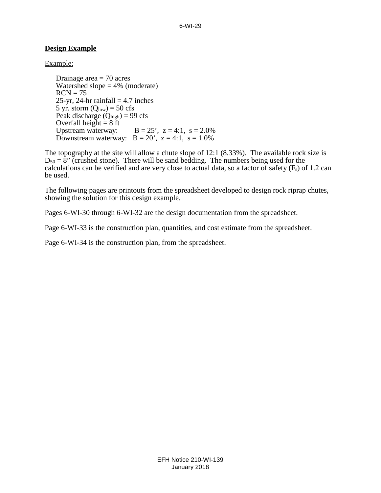## **Design Example**

Example:

Drainage area  $= 70$  acres Watershed slope  $= 4\%$  (moderate)  $RCN = 75$ 25-yr, 24-hr rainfall  $=$  4.7 inches 5 yr. storm  $(Q_{low}) = 50$  cfs Peak discharge  $(Q_{\text{high}}) = 99 \text{ cfs}$ Overfall height  $= 8$  ft<br>Upstream waterway:  $B = 25'$ ,  $z = 4:1$ ,  $s = 2.0\%$ Downstream waterway:  $B = 20'$ ,  $z = 4:1$ ,  $s = 1.0\%$ 

The topography at the site will allow a chute slope of 12:1 (8.33%). The available rock size is  $D_{50} = 8$ " (crushed stone). There will be sand bedding. The numbers being used for the calculations can be verified and are very close to actual data, so a factor of safety  $(F_s)$  of 1.2 can be used.

The following pages are printouts from the spreadsheet developed to design rock riprap chutes, showing the solution for this design example.

Pages 6-WI-30 through 6-WI-32 are the design documentation from the spreadsheet.

Page 6-WI-33 is the construction plan, quantities, and cost estimate from the spreadsheet.

Page 6-WI-34 is the construction plan, from the spreadsheet.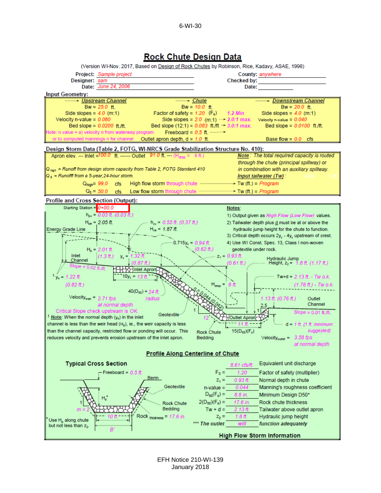

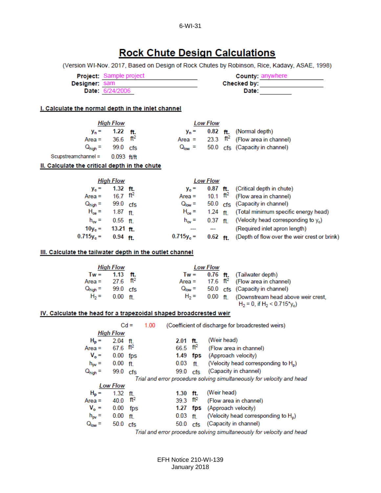# **Rock Chute Design Calculations**

(Version WI-Nov. 2017, Based on Design of Rock Chutes by Robinson, Rice, Kadavy, ASAE, 1998)

|               | <b>Project:</b> Sample project | <b>County: anywhere</b> |
|---------------|--------------------------------|-------------------------|
| Designer: sam |                                | Checked by:             |
|               | <b>Date: 6/24/2006</b>         | Date:                   |

#### I. Calculate the normal depth in the inlet channel

|                                                                   | <b>High Flow</b>   |                 |                             | <b>Low Flow</b> |                                                                                                      |
|-------------------------------------------------------------------|--------------------|-----------------|-----------------------------|-----------------|------------------------------------------------------------------------------------------------------|
| $y_n =$                                                           | 1.22 ft.           |                 | $y_n =$                     |                 | 0.82 $ft.$ (Normal depth)                                                                            |
| $Area =$                                                          | 36.6               | $ft^2$          |                             |                 | Area = $23.3$ $ft^2$ (Flow area in channel)                                                          |
| $Q_{\text{high}} =$                                               | 99.0               | cfs             | $Q_{low}$ =                 |                 | 50.0 cfs (Capacity in channel)                                                                       |
| Scupstreamchannel =                                               | $0.093$ ft/ft      |                 |                             |                 |                                                                                                      |
| II. Calculate the critical depth in the chute                     |                    |                 |                             |                 |                                                                                                      |
|                                                                   | <b>High Flow</b>   |                 |                             | <b>Low Flow</b> |                                                                                                      |
| $y_c =$                                                           | $1.32$ ft.         |                 | $V_{\rm e} =$               |                 | 0.87 ft. (Critical depth in chute)                                                                   |
| $Area =$                                                          | 16.7 $ft^2$        |                 |                             |                 | Area = $10.1$ $ft^2$ (Flow area in channel)                                                          |
| $Q_{\text{high}} =$                                               | 99.0 cfs           |                 | $Q_{\text{low}} =$          |                 | 50.0 cfs (Capacity in channel)                                                                       |
|                                                                   | $H_{oe} = 1.87$ ft |                 | $H_{ce} =$                  |                 | 1.24 ft (Total minimum specific energy head)                                                         |
| $h_{\text{cv}} =$                                                 | $0.55$ ff          |                 | $h_{\text{ew}} =$           |                 | 0.37 $\,$ ft (Velocity head corresponding to $y_c$ )                                                 |
| $10v_c =$                                                         | 13.21 ft           |                 |                             |                 | (Required inlet apron length)                                                                        |
| $0.715y_c = 0.94$ ft                                              |                    |                 | $0.715y_c =$                |                 | 0.62 ft. (Depth of flow over the weir crest or brink)                                                |
| III. Calculate the tailwater depth in the outlet channel          |                    |                 |                             |                 |                                                                                                      |
|                                                                   | <b>High Flow</b>   |                 |                             | <b>Low Flow</b> |                                                                                                      |
| $Tw =$                                                            | 1.13 ft.           |                 | $Tw =$                      |                 | 0.76 ft. (Tailwater depth)                                                                           |
| Area =                                                            | 27.6               | ft <sup>2</sup> | Area = 17.6 ft <sup>2</sup> |                 | (Flow area in channel)                                                                               |
| $Q_{\text{high}} =$                                               | 99.0 cfs           |                 | $Q_{\text{low}} =$          |                 | 50.0 cfs (Capacity in channel)                                                                       |
| $H_2 =$                                                           | 0.00               | ft              | $H_2 =$                     | 0.00            | ft. (Downstream head above weir crest,<br>$H_2 = 0$ , if $H_2 < 0.715$ <sup>*</sup> v <sub>a</sub> ) |
| IV. Calculate the head for a trapezoidal shaped broadcrested weir |                    |                 |                             |                 |                                                                                                      |
|                                                                   |                    |                 |                             |                 |                                                                                                      |

|                                                                                       | $Cd =$<br>1.00<br>(Coefficient of discharge for broadcrested weirs) |                 |  |                        |     |                                                                        |
|---------------------------------------------------------------------------------------|---------------------------------------------------------------------|-----------------|--|------------------------|-----|------------------------------------------------------------------------|
|                                                                                       | <b>High Flow</b>                                                    |                 |  |                        |     |                                                                        |
| $H_p =$                                                                               | $2.04$ ft.                                                          |                 |  | $2.01$ ft.             |     | (Weir head)                                                            |
| Area $=$                                                                              | $67.6$ ft <sup>2</sup>                                              |                 |  | 66.5 $ft^2$            |     | (Flow area in channel)                                                 |
| $V_o =$                                                                               | $0.00$ fps                                                          |                 |  | 1.49                   |     | fps (Approach velocity)                                                |
| $h_{\text{pv}} =$                                                                     | $0.00$ ft.                                                          |                 |  | 0.03                   | ft  | (Velocity head corresponding to H <sub>n</sub> )                       |
| $Q_{\text{high}} =$                                                                   | 99.0 cfs                                                            |                 |  | 99.0                   | cfs | (Capacity in channel)                                                  |
|                                                                                       |                                                                     |                 |  |                        |     | Trial and error procedure solving simultaneously for velocity and head |
|                                                                                       | <b>Low Flow</b>                                                     |                 |  |                        |     |                                                                        |
| $H_p =$                                                                               | $1.32$ ft                                                           |                 |  | $1.30$ ft.             |     | (Weir head)                                                            |
| $Area =$                                                                              | 40.0                                                                | ft <sup>2</sup> |  | $39.3$ ft <sup>2</sup> |     | (Flow area in channel)                                                 |
| $V_{o} =$                                                                             | 0.00                                                                | fps             |  | $1.27$ fps             |     | (Approach velocity)                                                    |
| $h_{\text{pv}} =$                                                                     | 0.00                                                                | ft              |  | 0.03                   | ft. | (Velocity head corresponding to H <sub>p</sub> )                       |
| $Q_{\text{low}} =$                                                                    | 50.0 cfs                                                            |                 |  | 50.0                   | cfs | (Capacity in channel)                                                  |
| Taish sand same comparations and discontinuously are the formula officers of the said |                                                                     |                 |  |                        |     |                                                                        |

Trial and error procedure solving simultaneously for velocity and head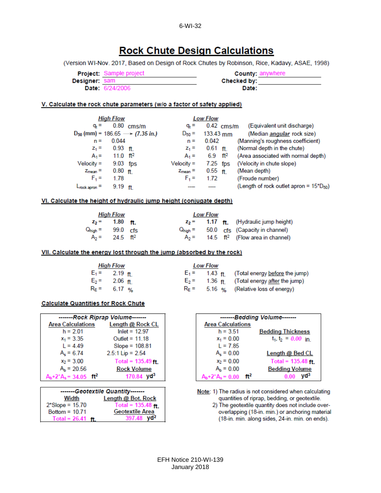# **Rock Chute Design Calculations**

(Version WI-Nov. 2017, Based on Design of Rock Chutes by Robinson, Rice, Kadavy, ASAE, 1998)

Project: Sample project Designer: sam Date: 6/24/2006

County: anywhere **Checked by:** Date:

#### V. Calculate the rock chute parameters (w/o a factor of safety applied)

|              | <b>High Flow</b>     |                                                     |                     | <b>Low Flow</b> |              |                                               |
|--------------|----------------------|-----------------------------------------------------|---------------------|-----------------|--------------|-----------------------------------------------|
| $q_{\ast} =$ |                      | $0.80$ cms/m                                        | $q_t =$             |                 | $0.42$ cms/m | (Equivalent unit discharge)                   |
|              |                      | $D_{50}$ (mm) = 186.65 $\longrightarrow$ (7.35 in.) | $D_{50} =$          | $133.43$ mm     |              | (Median <i>angular</i> rock size)             |
| $n =$        | 0.044                |                                                     | $n =$               | 0.042           |              | (Manning's roughness coefficient)             |
| $Z_1 =$      | $0.93$ ff            |                                                     | $Z_1 =$             | $0.61$ ft.      |              | (Normal depth in the chute)                   |
| $A_1 =$      | 11.0 ft <sup>2</sup> |                                                     | $A_1 =$             | 6.9 $ft^2$      |              | (Area associated with normal depth)           |
| $Velocity =$ | 9.03 fps             |                                                     | $Velocity =$        | $7.25$ fps      |              | (Velocity in chute slope)                     |
| $Z_{mean} =$ | $0.80$ ff            |                                                     | $Z_{\text{mean}} =$ | $0.55$ ft       |              | (Mean depth)                                  |
| $F_1 =$      | 1.78                 |                                                     | $F_1 =$             | 1.72            |              | (Froude number)                               |
| Lrock apron  | $9.19$ ff            |                                                     |                     |                 |              | (Length of rock outlet apron = $15^*D_{50}$ ) |

#### VI. Calculate the height of hydraulic jump height (conjugate depth)

|                              | High Flow                    |  | <b>Low Flow</b> |                                                            |
|------------------------------|------------------------------|--|-----------------|------------------------------------------------------------|
|                              | $z_2$ = 1.80 ft              |  |                 | $z_2$ = 1.17 ft. (Hydraulic jump height)                   |
| $Q_{\text{high}} = 99.0$ cfs |                              |  |                 | $Q_{\text{high}} = 50.0 \text{ cfs}$ (Capacity in channel) |
|                              | $A_2 = 24.5$ ft <sup>2</sup> |  |                 | $A_2 =$ 14.5 ft <sup>2</sup> (Flow area in channel)        |

#### VII. Calculate the energy lost through the jump (absorbed by the rock)

|                          | High Flow |  | <b>Low Flow</b> |                                                  |
|--------------------------|-----------|--|-----------------|--------------------------------------------------|
| $E_1 = 2.19$ ft          |           |  |                 | $E_1 = 1.43$ ft (Total energy before the jump)   |
| $E_2$ = 2.06 ft          |           |  |                 | $E_2$ = 1.36 $H_1$ (Total energy after the jump) |
| $R_E = 6.17 \, \text{g}$ |           |  |                 | $R_E = 5.16$ % (Relative loss of energy)         |

#### **Calculate Quantities for Rock Chute**

| -------Rock Riprap Volume-------        |                      |  |  |  |  |  |  |
|-----------------------------------------|----------------------|--|--|--|--|--|--|
| <b>Area Calculations</b>                | Length @ Rock CL     |  |  |  |  |  |  |
| $h = 2.01$                              | $lnlet = 12.97$      |  |  |  |  |  |  |
| $x_1 = 3.35$                            | Outlet = $11.18$     |  |  |  |  |  |  |
| $L = 4.49$                              | Slope = 108.81       |  |  |  |  |  |  |
| $A_5 = 6.74$                            | $2.5:1$ Lip = $2.54$ |  |  |  |  |  |  |
| $x_2 = 3.00$                            | Total = $135.49$ ft. |  |  |  |  |  |  |
| $A_h = 20.56$                           | <b>Rock Volume</b>   |  |  |  |  |  |  |
| $A_b + 2^A A_s = 34.05$ ft <sup>2</sup> | 170.84 $yd^3$        |  |  |  |  |  |  |

| -------Geotextile Quantity------- |                           |  |  |  |  |  |
|-----------------------------------|---------------------------|--|--|--|--|--|
| Width                             | Length @ Bot. Rock        |  |  |  |  |  |
| $2*Slope = 15.70$                 | Total = $135.48$ ft.      |  |  |  |  |  |
| Bottom = $10.71$                  | <b>Geotextile Area</b>    |  |  |  |  |  |
| Total = $26.41$ ft.               | vd <sup>2</sup><br>397.48 |  |  |  |  |  |

| -------Bedding Volume-------  |                          |
|-------------------------------|--------------------------|
| <b>Area Calculations</b>      |                          |
| $h = 3.51$                    | <b>Bedding Thickness</b> |
| $x_1 = 0.00$                  | $t_1, t_2 = 0.00$ in     |
| $L = 7.85$                    |                          |
| $A_5 = 0.00$                  | Length @ Bed CL          |
| $x_2 = 0.00$                  | Total = $135.48$ ft.     |
| $A_h = 0.00$                  | <b>Bedding Volume</b>    |
| 642<br>$A_h + 2^A A_e = 0.00$ | 0.00 0                   |

Note: 1) The radius is not considered when calculating quantities of riprap, bedding, or geotextile.

2) The geotextile quantity does not include overoverlapping (18-in. min.) or anchoring material (18-in. min. along sides, 24-in. min. on ends).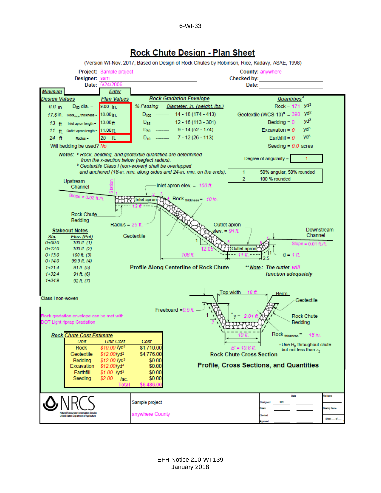

## **Rock Chute Design - Plan Sheet**